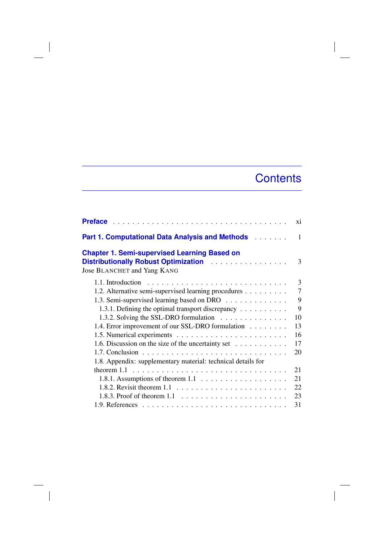## **Contents**

|                                                                                                                                                                   | xi             |
|-------------------------------------------------------------------------------------------------------------------------------------------------------------------|----------------|
| <b>Part 1. Computational Data Analysis and Methods Albumet Angle</b>                                                                                              | 1              |
| <b>Chapter 1. Semi-supervised Learning Based on</b><br>Distributionally Robust Optimization <b>Container Additional Properties</b><br>Jose BLANCHET and Yang KANG | 3              |
|                                                                                                                                                                   | 3              |
| 1.2. Alternative semi-supervised learning procedures                                                                                                              | $\overline{7}$ |
| 1.3. Semi-supervised learning based on DRO                                                                                                                        | 9              |
| 1.3.1. Defining the optimal transport discrepancy                                                                                                                 | 9              |
| 1.3.2. Solving the SSL-DRO formulation                                                                                                                            | 10             |
| 1.4. Error improvement of our SSL-DRO formulation                                                                                                                 | 13             |
|                                                                                                                                                                   | 16             |
| 1.6. Discussion on the size of the uncertainty set                                                                                                                | 17             |
|                                                                                                                                                                   | 20             |
| 1.8. Appendix: supplementary material: technical details for                                                                                                      |                |
| theorem $1.1 \ldots \ldots \ldots \ldots \ldots \ldots \ldots \ldots \ldots \ldots$                                                                               | 21             |
| 1.8.1. Assumptions of theorem $1.1 \ldots \ldots \ldots \ldots \ldots \ldots$                                                                                     | 21             |
| 1.8.2. Revisit theorem $1.1 \ldots \ldots \ldots \ldots \ldots \ldots \ldots$                                                                                     | 22             |
| 1.8.3. Proof of theorem $1.1 \ldots \ldots \ldots \ldots \ldots \ldots$                                                                                           | 23             |
|                                                                                                                                                                   | 31             |

 $\overline{\phantom{a}}$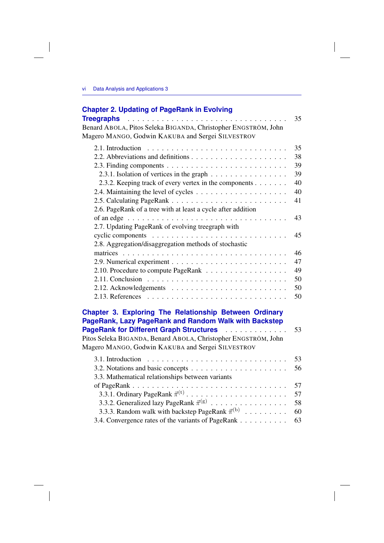## **Chapter 2. Updating of PageRank in Evolving**

|                                                                                   | 35 |
|-----------------------------------------------------------------------------------|----|
| Benard ABOLA, Pitos Seleka BIGANDA, Christopher ENGSTRÖM, John                    |    |
| Magero MANGO, Godwin KAKUBA and Sergei SILVESTROV                                 |    |
|                                                                                   | 35 |
|                                                                                   | 38 |
| 2.3. Finding components $\ldots \ldots \ldots \ldots \ldots \ldots \ldots \ldots$ | 39 |
| 2.3.1. Isolation of vertices in the graph                                         | 39 |
| 2.3.2. Keeping track of every vertex in the components                            | 40 |
|                                                                                   | 40 |
|                                                                                   | 41 |
| 2.6. PageRank of a tree with at least a cycle after addition                      |    |
|                                                                                   | 43 |
| 2.7. Updating PageRank of evolving treegraph with                                 |    |
|                                                                                   | 45 |
| 2.8. Aggregation/disaggregation methods of stochastic                             |    |
|                                                                                   | 46 |
|                                                                                   | 47 |
|                                                                                   | 49 |
|                                                                                   | 50 |
|                                                                                   | 50 |
|                                                                                   | 50 |
|                                                                                   |    |

| <b>Chapter 3. Exploring The Relationship Between Ordinary</b><br>PageRank, Lazy PageRank and Random Walk with Backstep |    |
|------------------------------------------------------------------------------------------------------------------------|----|
| <b>PageRank for Different Graph Structures</b> Alberts Alberts Alberts                                                 | 53 |
| Pitos Seleka BIGANDA, Benard ABOLA, Christopher ENGSTRÖM, John                                                         |    |
| Magero MANGO, Godwin KAKUBA and Sergei SILVESTROV                                                                      |    |
| 3.1. Introduction $\ldots \ldots \ldots \ldots \ldots \ldots \ldots \ldots \ldots$                                     | 53 |
|                                                                                                                        | 56 |
| 3.3. Mathematical relationships between variants                                                                       |    |
|                                                                                                                        | 57 |
|                                                                                                                        | 57 |
| 3.3.2. Generalized lazy PageRank $\vec{\pi}^{(g)}$                                                                     | 58 |
| 3.3.3. Random walk with backstep PageRank $\vec{\pi}^{(b)}$                                                            | 60 |
| 3.4. Convergence rates of the variants of PageRank                                                                     | 63 |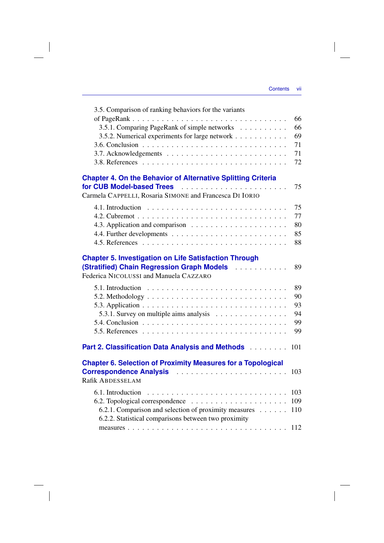$\overline{\phantom{a}}$ 

| 3.5. Comparison of ranking behaviors for the variants                                                         |     |
|---------------------------------------------------------------------------------------------------------------|-----|
|                                                                                                               | 66  |
| 3.5.1. Comparing PageRank of simple networks                                                                  | 66  |
| 3.5.2. Numerical experiments for large network                                                                | 69  |
|                                                                                                               | 71  |
|                                                                                                               | 71  |
|                                                                                                               | 72  |
| <b>Chapter 4. On the Behavior of Alternative Splitting Criteria</b>                                           |     |
|                                                                                                               | 75  |
| Carmela CAPPELLI, Rosaria SIMONE and Francesca DI IORIO                                                       |     |
|                                                                                                               | 75  |
|                                                                                                               | 77  |
|                                                                                                               | 80  |
|                                                                                                               | 85  |
|                                                                                                               | 88  |
| <b>Chapter 5. Investigation on Life Satisfaction Through</b>                                                  |     |
|                                                                                                               | 89  |
| Federica NICOLUSSI and Manuela CAZZARO                                                                        |     |
| 5.1. Introduction $\ldots \ldots \ldots \ldots \ldots \ldots \ldots \ldots \ldots \ldots$                     | 89  |
|                                                                                                               | 90  |
|                                                                                                               | 93  |
| 5.3.1. Survey on multiple aims analysis                                                                       | 94  |
|                                                                                                               | 99  |
|                                                                                                               | 99  |
| Part 2. Classification Data Analysis and Methods                                                              | 101 |
| <b>Chapter 6. Selection of Proximity Measures for a Topological</b>                                           |     |
| Correspondence Analysis                                                                                       | 103 |
| Rafik ABDESSELAM                                                                                              |     |
| 6.1. Introduction $\ldots \ldots \ldots \ldots \ldots \ldots \ldots \ldots \ldots \ldots$                     | 103 |
|                                                                                                               |     |
| 6.2.1. Comparison and selection of proximity measures<br>6.2.2. Statistical comparisons between two proximity | 110 |
|                                                                                                               | 112 |
|                                                                                                               |     |

 $\overline{\phantom{a}}$ 

 $\mathcal{L}^{\mathcal{L}}$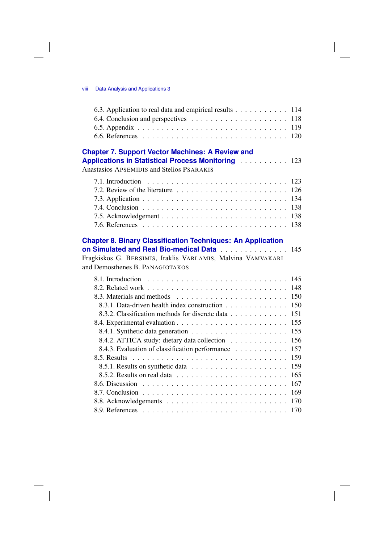$\overline{\phantom{a}}$ 

 $\overline{\phantom{a}}$ 

| 6.3. Application to real data and empirical results 114                                                                                                                                                        |            |
|----------------------------------------------------------------------------------------------------------------------------------------------------------------------------------------------------------------|------------|
|                                                                                                                                                                                                                | 118        |
|                                                                                                                                                                                                                | 119        |
|                                                                                                                                                                                                                | 120        |
| <b>Chapter 7. Support Vector Machines: A Review and</b><br><b>Applications in Statistical Process Monitoring Actual 2018</b>                                                                                   |            |
| <b>Anastasios APSEMIDIS and Stelios PSARAKIS</b>                                                                                                                                                               |            |
|                                                                                                                                                                                                                | 123<br>126 |
|                                                                                                                                                                                                                | 134        |
|                                                                                                                                                                                                                | 138        |
|                                                                                                                                                                                                                |            |
|                                                                                                                                                                                                                | 138        |
| <b>Chapter 8. Binary Classification Techniques: An Application</b><br>on Simulated and Real Bio-medical Data<br>Fragkiskos G. BERSIMIS, Iraklis VARLAMIS, Malvina VAMVAKARI<br>and Demosthenes B. PANAGIOTAKOS | 145        |
|                                                                                                                                                                                                                | 145        |
|                                                                                                                                                                                                                | 148        |
|                                                                                                                                                                                                                | 150        |
| 8.3.1. Data-driven health index construction                                                                                                                                                                   | 150        |
| 8.3.2. Classification methods for discrete data                                                                                                                                                                | 151        |
|                                                                                                                                                                                                                | 155        |
|                                                                                                                                                                                                                | 155        |
| 8.4.2. ATTICA study: dietary data collection                                                                                                                                                                   | 156        |
| 8.4.3. Evaluation of classification performance                                                                                                                                                                | 157        |
|                                                                                                                                                                                                                | 159        |
|                                                                                                                                                                                                                | 159        |
|                                                                                                                                                                                                                | 165        |
|                                                                                                                                                                                                                |            |
|                                                                                                                                                                                                                | 167        |
|                                                                                                                                                                                                                |            |
|                                                                                                                                                                                                                | 170<br>170 |

 $\Big|$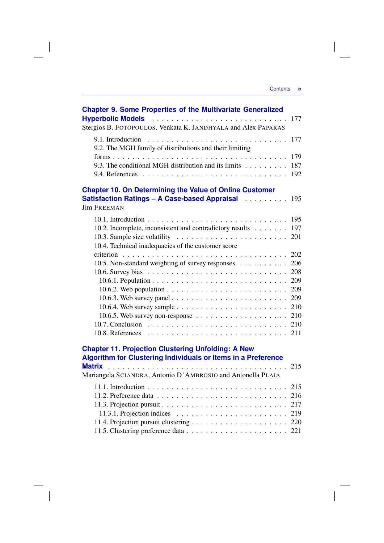| <b>Chapter 9. Some Properties of the Multivariate Generalized</b>               | 177 |
|---------------------------------------------------------------------------------|-----|
| Stergios B. FOTOPOULOS, Venkata K. JANDHYALA and Alex PAPARAS                   |     |
| 9.1. Introduction<br>9.2. The MGH family of distributions and their limiting    | 177 |
|                                                                                 | 179 |
| 9.3. The conditional MGH distribution and its limits                            | 187 |
|                                                                                 | 192 |
| <b>Chapter 10. On Determining the Value of Online Customer</b>                  |     |
| Satisfaction Ratings - A Case-based Appraisal Automatical<br><b>Jim FREEMAN</b> | 195 |
|                                                                                 | 195 |
| 10.2. Incomplete, inconsistent and contradictory results                        | 197 |
| 10.3. Sample size volatility $\ldots \ldots \ldots \ldots \ldots \ldots \ldots$ | 201 |
| 10.4. Technical inadequacies of the customer score                              |     |
|                                                                                 | 202 |
| 10.5. Non-standard weighting of survey responses                                | 206 |
|                                                                                 | 208 |
|                                                                                 | 209 |
|                                                                                 | 209 |
|                                                                                 | 209 |
|                                                                                 | 210 |
| 10.6.5. Web survey non-response $\dots \dots \dots \dots \dots \dots \dots$     | 210 |
|                                                                                 | 210 |
|                                                                                 | 211 |
| <b>Chapter 11. Projection Clustering Unfolding: A New</b>                       |     |
| Algorithm for Clustering Individuals or Items in a Preference                   |     |
| <b>Matrix</b><br>Mariangela SCIANDRA, Antonio D'AMBROSIO and Antonella PLAIA    | 215 |
|                                                                                 | 215 |
|                                                                                 | 216 |
|                                                                                 | 217 |
| 11.3.1. Projection indices $\ldots \ldots \ldots \ldots \ldots \ldots \ldots$   | 219 |
|                                                                                 |     |
|                                                                                 | 221 |

 $\overline{\phantom{a}}$